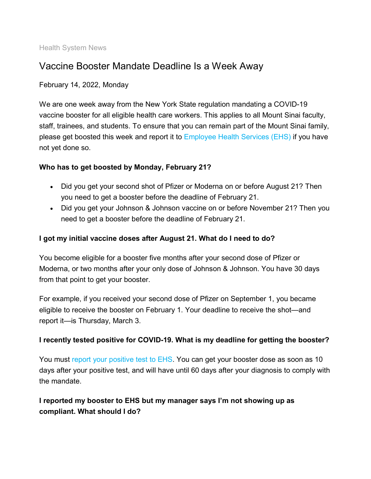Health System News

# Vaccine Booster Mandate Deadline Is a Week Away

#### February 14, 2022, Monday

We are one week away from the New York State regulation mandating a COVID-19 vaccine booster for all eligible health care workers. This applies to all Mount Sinai faculty, staff, trainees, and students. To ensure that you can remain part of the Mount Sinai family, please get boosted this week and report it to [Employee Health Services \(EHS\)](https://redcap.mountsinai.org/redcap/surveys/index.php?s=47JY9K9MFA&_ga=2.47276903.1309308404.1644242732-1113505503.1642793535&_gac=1.114677877.1643819239.Cj0KCQiA9OiPBhCOARIsAI0y71DEEIwmsTWqsNfSK1kmaAhl2xSTnvDSz2YTxXWgru4a3BJGXnVC7QUaAhp1EALw_wcB) if you have not yet done so.

## **Who has to get boosted by Monday, February 21?**

- Did you get your second shot of Pfizer or Moderna on or before August 21? Then you need to get a booster before the deadline of February 21.
- Did you get your Johnson & Johnson vaccine on or before November 21? Then you need to get a booster before the deadline of February 21.

### **I got my initial vaccine doses after August 21. What do I need to do?**

You become eligible for a booster five months after your second dose of Pfizer or Moderna, or two months after your only dose of Johnson & Johnson. You have 30 days from that point to get your booster.

For example, if you received your second dose of Pfizer on September 1, you became eligible to receive the booster on February 1. Your deadline to receive the shot—and report it—is Thursday, March 3.

#### **I recently tested positive for COVID-19. What is my deadline for getting the booster?**

You must [report your positive test to EHS.](https://redcap.mountsinai.org/redcap/surveys/index.php?s=47JY9K9MFA&_ga=2.47276903.1309308404.1644242732-1113505503.1642793535&_gac=1.114677877.1643819239.Cj0KCQiA9OiPBhCOARIsAI0y71DEEIwmsTWqsNfSK1kmaAhl2xSTnvDSz2YTxXWgru4a3BJGXnVC7QUaAhp1EALw_wcB) You can get your booster dose as soon as 10 days after your positive test, and will have until 60 days after your diagnosis to comply with the mandate.

# **I reported my booster to EHS but my manager says I'm not showing up as compliant. What should I do?**